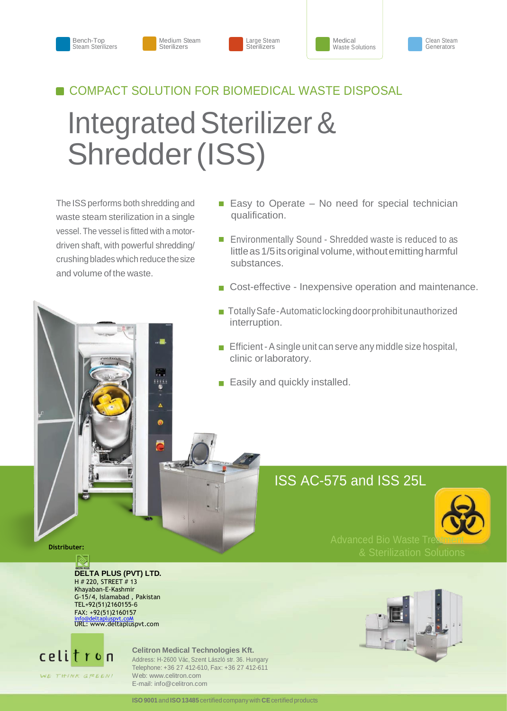#### Medium Steam Sterilizers







## **COMPACT SOLUTION FOR BIOMEDICAL WASTE DISPOSAL**

# Integrated Sterilizer & Shredder (ISS)

The ISS performs both shredding and waste steam sterilization in a single vessel. The vessel is fitted with a motordriven shaft, with powerful shredding/ crushing blades which reduce the size and volume of the waste.

 $rac{2}{\pi}$ 

- $\blacksquare$  Easy to Operate No need for special technician qualification.
- Environmentally Sound Shredded waste is reduced to as little as 1/5 its original volume, without emitting harmful substances.
- Cost-effective Inexpensive operation and maintenance.
- Totally Safe-Automaticlocking door prohibit unauthorized interruption.
- **Efficient A single unit can serve any middle size hospital,** clinic orlaboratory.
- Easily and quickly installed.

# ISS AC-575 and ISS 25L



 **Distributer:**

### **DELTA PLUS (PVT) LTD.** H # 220, STREET # 13

Khayaban-E-Kashmir G-15/4, Islamabad , Pakistan TEL+92(51)2160155-6 FAX: +92(51)2160157 [info@deltapluspvt.coM](mailto:info@deltapluspvt.coM) URL: www.deltapluspvt.com



#### **Celitron Medical Technologies Kft.**

Address: H-2600 Vác, Szent László str. 36. Hungary Telephone: +36 27 412-610, Fax: +36 27 412-611 Web[: www.celitron.com](http://www.celitron.com/) E-mail: [info@celitron.com](mailto:info@celitron.com)